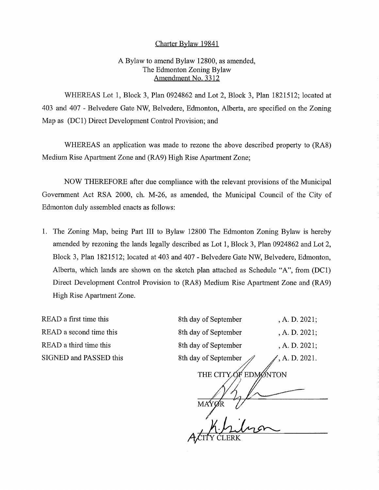## Charter Bylaw 19841

## A Bylaw to amend Bylaw 12800, as amended, The Edmonton Zoning Bylaw Amendment No. 3312

WHEREAS Lot 1, Block 3, Plan 0924862 and Lot 2, Block 3, Plan 1821512; located at 403 and 407 - Belvedere Gate NW, Belvedere, Edmonton, Alberta, are specified on the Zoning Map as (DC1) Direct Development Control Provision; and

WHEREAS an application was made to rezone the above described property to (RA8) Medium Rise Apartment Zone and (RA9) High Rise Apartment Zone;

NOW THEREFORE after due compliance with the relevant provisions of the Municipal Government Act RSA 2000, ch. M-26, as amended, the Municipal Council of the City of Edmonton duly assembled enacts as follows:

1. The Zoning Map, being Part III to Bylaw 12800 The Edmonton Zoning Bylaw is hereby amended by rezoning the lands legally described as Lot 1, Block 3, Plan 0924862 and Lot 2, Block 3, Plan 1821512; located at 403 and 407 - Belvedere Gate NW, Belvedere, Edmonton, Alberta, which lands are shown on the sketch plan attached as Schedule "A", from (DC1) Direct Development Control Provision to (RA8) Medium Rise Apartment Zone and (RA9) High Rise Apartment Zone.

READ a first time this READ a second time this READ a third time this SIGNED and PASSED this

| 8th day of September | , A. D. 2021; |
|----------------------|---------------|
| 8th day of September | , A. D. 2021; |
| 8th day of September | , A. D. 2021; |
| 8th day of September | , A. D. 2021. |
| THE CITY OF EDMONTON |               |
|                      |               |

MA<sup>4</sup> Y CLERK